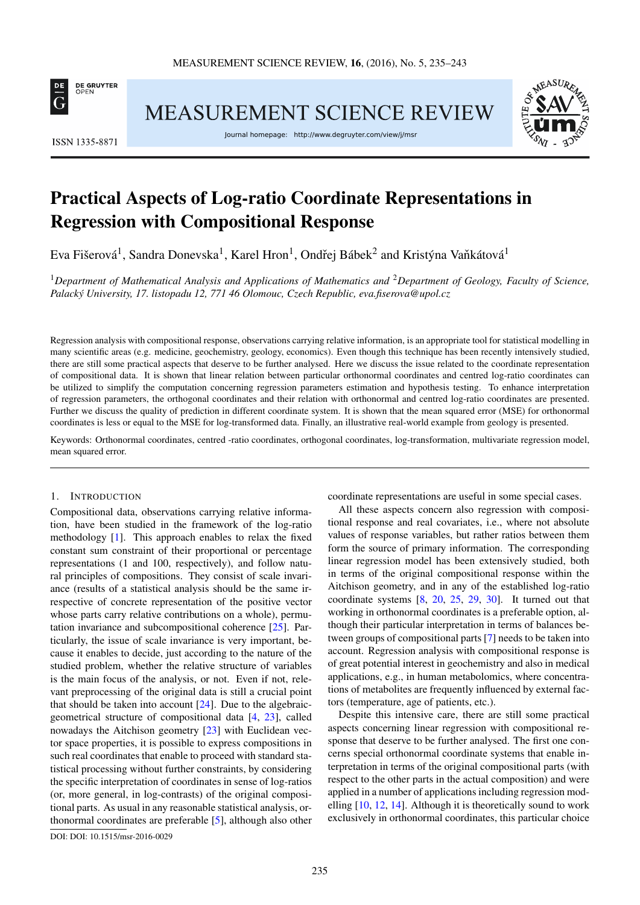

ISSN 1335-8871

MEASUREMENT SCIENCE REVIEW

Journal homepage: http://www.degruyter.com/view/j/msr



# Practical Aspects of Log-ratio Coordinate Representations in Regression with Compositional Response

Eva Fišerová $^1$ , Sandra Donevska $^1$ , Karel Hron $^1$ , Ondřej Bábek $^2$  and Kristýna Vaňkátová $^1$ 

<sup>1</sup>*Department of Mathematical Analysis and Applications of Mathematics and* <sup>2</sup>*Department of Geology, Faculty of Science, Palacký University, 17. listopadu 12, 771 46 Olomouc, Czech Republic, [eva.fiserova@upol.cz](mailto:eva.fiserova@upol.cz)*

Regression analysis with compositional response, observations carrying relative information, is an appropriate tool for statistical modelling in many scientific areas (e.g. medicine, geochemistry, geology, economics). Even though this technique has been recently intensively studied, there are still some practical aspects that deserve to be further analysed. Here we discuss the issue related to the coordinate representation of compositional data. It is shown that linear relation between particular orthonormal coordinates and centred log-ratio coordinates can be utilized to simplify the computation concerning regression parameters estimation and hypothesis testing. To enhance interpretation of regression parameters, the orthogonal coordinates and their relation with orthonormal and centred log-ratio coordinates are presented. Further we discuss the quality of prediction in different coordinate system. It is shown that the mean squared error (MSE) for orthonormal coordinates is less or equal to the MSE for log-transformed data. Finally, an illustrative real-world example from geology is presented.

Keywords: Orthonormal coordinates, centred -ratio coordinates, orthogonal coordinates, log-transformation, multivariate regression model, mean squared error.

#### 1. INTRODUCTION

Compositional data, observations carrying relative information, have been studied in the framework of the log-ratio methodology [\[1\]](#page-8-0). This approach enables to relax the fixed constant sum constraint of their proportional or percentage representations (1 and 100, respectively), and follow natural principles of compositions. They consist of scale invariance (results of a statistical analysis should be the same irrespective of concrete representation of the positive vector whose parts carry relative contributions on a whole), permutation invariance and subcompositional coherence [\[25\]](#page-8-1). Particularly, the issue of scale invariance is very important, because it enables to decide, just according to the nature of the studied problem, whether the relative structure of variables is the main focus of the analysis, or not. Even if not, relevant preprocessing of the original data is still a crucial point that should be taken into account [\[24\]](#page-8-2). Due to the algebraicgeometrical structure of compositional data [\[4,](#page-8-3) [23\]](#page-8-4), called nowadays the Aitchison geometry [\[23\]](#page-8-4) with Euclidean vector space properties, it is possible to express compositions in such real coordinates that enable to proceed with standard statistical processing without further constraints, by considering the specific interpretation of coordinates in sense of log-ratios (or, more general, in log-contrasts) of the original compositional parts. As usual in any reasonable statistical analysis, orthonormal coordinates are preferable [\[5\]](#page-8-5), although also other [DOI: DOI: 10.1515/msr-2016-0029](http://dx.doi.org/DOI: 10.1515/msr-2016-0029)

coordinate representations are useful in some special cases.

All these aspects concern also regression with compositional response and real covariates, i.e., where not absolute values of response variables, but rather ratios between them form the source of primary information. The corresponding linear regression model has been extensively studied, both in terms of the original compositional response within the Aitchison geometry, and in any of the established log-ratio coordinate systems  $[8, 20, 25, 29, 30]$  $[8, 20, 25, 29, 30]$  $[8, 20, 25, 29, 30]$  $[8, 20, 25, 29, 30]$  $[8, 20, 25, 29, 30]$  $[8, 20, 25, 29, 30]$  $[8, 20, 25, 29, 30]$  $[8, 20, 25, 29, 30]$  $[8, 20, 25, 29, 30]$ . It turned out that working in orthonormal coordinates is a preferable option, although their particular interpretation in terms of balances between groups of compositional parts [\[7\]](#page-8-10) needs to be taken into account. Regression analysis with compositional response is of great potential interest in geochemistry and also in medical applications, e.g., in human metabolomics, where concentrations of metabolites are frequently influenced by external factors (temperature, age of patients, etc.).

Despite this intensive care, there are still some practical aspects concerning linear regression with compositional response that deserve to be further analysed. The first one concerns special orthonormal coordinate systems that enable interpretation in terms of the original compositional parts (with respect to the other parts in the actual composition) and were applied in a number of applications including regression modelling [\[10,](#page-8-11) [12,](#page-8-12) [14\]](#page-8-13). Although it is theoretically sound to work exclusively in orthonormal coordinates, this particular choice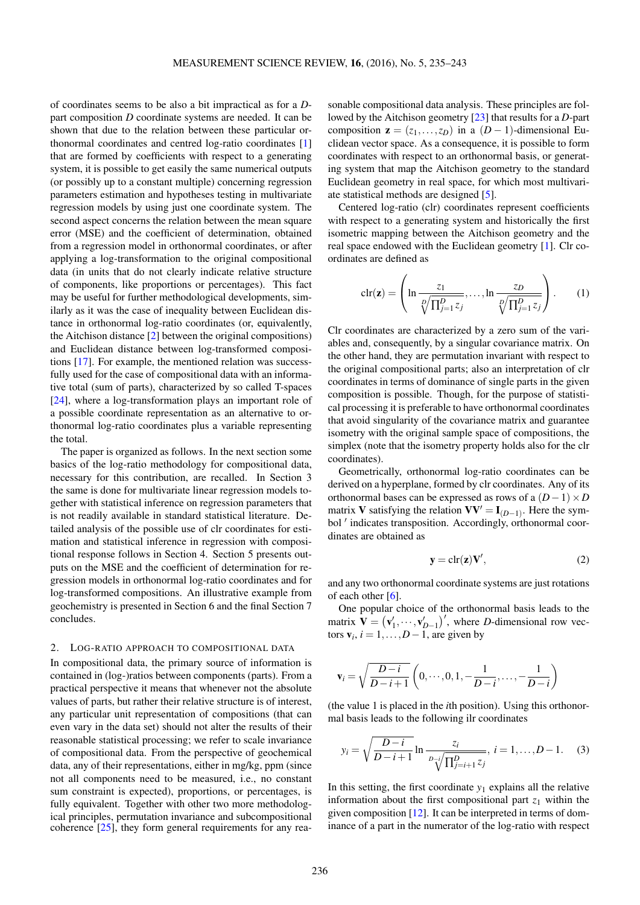of coordinates seems to be also a bit impractical as for a *D*part composition *D* coordinate systems are needed. It can be shown that due to the relation between these particular orthonormal coordinates and centred log-ratio coordinates [\[1\]](#page-8-0) that are formed by coefficients with respect to a generating system, it is possible to get easily the same numerical outputs (or possibly up to a constant multiple) concerning regression parameters estimation and hypotheses testing in multivariate regression models by using just one coordinate system. The second aspect concerns the relation between the mean square error (MSE) and the coefficient of determination, obtained from a regression model in orthonormal coordinates, or after applying a log-transformation to the original compositional data (in units that do not clearly indicate relative structure of components, like proportions or percentages). This fact may be useful for further methodological developments, similarly as it was the case of inequality between Euclidean distance in orthonormal log-ratio coordinates (or, equivalently, the Aitchison distance [\[2\]](#page-8-14) between the original compositions) and Euclidean distance between log-transformed compositions [\[17\]](#page-8-15). For example, the mentioned relation was successfully used for the case of compositional data with an informative total (sum of parts), characterized by so called T-spaces [\[24\]](#page-8-2), where a log-transformation plays an important role of a possible coordinate representation as an alternative to orthonormal log-ratio coordinates plus a variable representing the total.

The paper is organized as follows. In the next section some basics of the log-ratio methodology for compositional data, necessary for this contribution, are recalled. In Section 3 the same is done for multivariate linear regression models together with statistical inference on regression parameters that is not readily available in standard statistical literature. Detailed analysis of the possible use of clr coordinates for estimation and statistical inference in regression with compositional response follows in Section 4. Section 5 presents outputs on the MSE and the coefficient of determination for regression models in orthonormal log-ratio coordinates and for log-transformed compositions. An illustrative example from geochemistry is presented in Section 6 and the final Section 7 concludes.

#### 2. LOG-RATIO APPROACH TO COMPOSITIONAL DATA

In compositional data, the primary source of information is contained in (log-)ratios between components (parts). From a practical perspective it means that whenever not the absolute values of parts, but rather their relative structure is of interest, any particular unit representation of compositions (that can even vary in the data set) should not alter the results of their reasonable statistical processing; we refer to scale invariance of compositional data. From the perspective of geochemical data, any of their representations, either in mg/kg, ppm (since not all components need to be measured, i.e., no constant sum constraint is expected), proportions, or percentages, is fully equivalent. Together with other two more methodological principles, permutation invariance and subcompositional coherence [\[25\]](#page-8-1), they form general requirements for any reasonable compositional data analysis. These principles are followed by the Aitchison geometry [\[23\]](#page-8-4) that results for a *D*-part composition  $z = (z_1, \ldots, z_D)$  in a  $(D-1)$ -dimensional Euclidean vector space. As a consequence, it is possible to form coordinates with respect to an orthonormal basis, or generating system that map the Aitchison geometry to the standard Euclidean geometry in real space, for which most multivariate statistical methods are designed [\[5\]](#page-8-5).

Centered log-ratio (clr) coordinates represent coefficients with respect to a generating system and historically the first isometric mapping between the Aitchison geometry and the real space endowed with the Euclidean geometry [\[1\]](#page-8-0). Clr coordinates are defined as

$$
\operatorname{clr}(\mathbf{z}) = \left(\ln \frac{z_1}{\sqrt[D]{\prod_{j=1}^D z_j}}, \dots, \ln \frac{z_D}{\sqrt[D]{\prod_{j=1}^D z_j}}\right). \tag{1}
$$

Clr coordinates are characterized by a zero sum of the variables and, consequently, by a singular covariance matrix. On the other hand, they are permutation invariant with respect to the original compositional parts; also an interpretation of clr coordinates in terms of dominance of single parts in the given composition is possible. Though, for the purpose of statistical processing it is preferable to have orthonormal coordinates that avoid singularity of the covariance matrix and guarantee isometry with the original sample space of compositions, the simplex (note that the isometry property holds also for the clr coordinates).

Geometrically, orthonormal log-ratio coordinates can be derived on a hyperplane, formed by clr coordinates. Any of its orthonormal bases can be expressed as rows of a  $(D-1) \times D$ matrix V satisfying the relation  $VV' = I_{(D-1)}$ . Here the symbol ' indicates transposition. Accordingly, orthonormal coordinates are obtained as

<span id="page-1-1"></span>
$$
y = \operatorname{clr}(z)V',\tag{2}
$$

and any two orthonormal coordinate systems are just rotations of each other  $[6]$ .

One popular choice of the orthonormal basis leads to the matrix  $\mathbf{V} = (\mathbf{v}'_1, \dots, \mathbf{v}'_{D-1})'$ , where *D*-dimensional row vectors  $\mathbf{v}_i$ ,  $i = 1, \ldots, D-1$ , are given by

$$
\mathbf{v}_{i} = \sqrt{\frac{D-i}{D-i+1}} \left(0, \dots, 0, 1, -\frac{1}{D-i}, \dots, -\frac{1}{D-i}\right)
$$

(the value 1 is placed in the *i*th position). Using this orthonormal basis leads to the following ilr coordinates

<span id="page-1-0"></span>
$$
y_i = \sqrt{\frac{D - i}{D - i + 1}} \ln \frac{z_i}{\sqrt[D]{\prod_{j=i+1}^D z_j}}, \ i = 1, ..., D - 1.
$$
 (3)

In this setting, the first coordinate  $y_1$  explains all the relative information about the first compositional part  $z_1$  within the given composition [\[12\]](#page-8-12). It can be interpreted in terms of dominance of a part in the numerator of the log-ratio with respect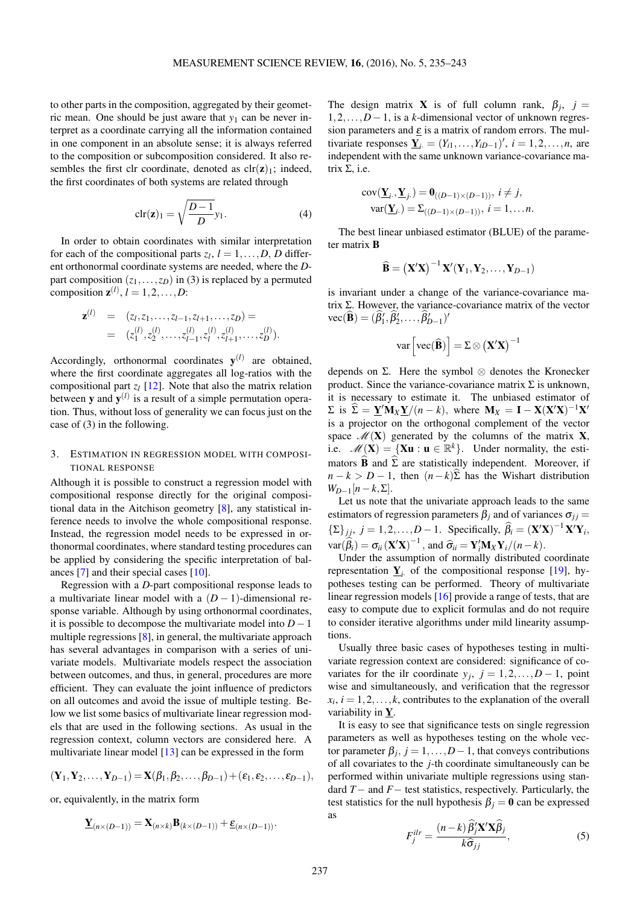to other parts in the composition, aggregated by their geometric mean. One should be just aware that  $y_1$  can be never interpret as a coordinate carrying all the information contained in one component in an absolute sense; it is always referred to the composition or subcomposition considered. It also resembles the first clr coordinate, denoted as  $\text{clr}(\mathbf{z})_1$ ; indeed, the first coordinates of both systems are related through

<span id="page-2-0"></span>
$$
\operatorname{clr}(\mathbf{z})_1 = \sqrt{\frac{D-1}{D}} y_1. \tag{4}
$$

In order to obtain coordinates with similar interpretation for each of the compositional parts  $z_l$ ,  $l = 1, ..., D$ , *D* different orthonormal coordinate systems are needed, where the *D*part composition  $(z_1,...,z_D)$  in [\(3\)](#page-1-0) is replaced by a permuted composition  $z^{(l)}$ ,  $l = 1, 2, ..., D$ :

$$
\mathbf{z}^{(l)} = (z_1, z_1, \dots, z_{l-1}, z_{l+1}, \dots, z_D) =
$$
  
=  $(z_1^{(l)}, z_2^{(l)}, \dots, z_{l-1}^{(l)}, z_l^{(l)}, z_{l+1}^{(l)}, \dots, z_D^{(l)}).$ 

Accordingly, orthonormal coordinates  $y^{(l)}$  are obtained, where the first coordinate aggregates all log-ratios with the compositional part  $z_l$  [\[12\]](#page-8-12). Note that also the matrix relation between **y** and  $y^{(l)}$  is a result of a simple permutation operation. Thus, without loss of generality we can focus just on the case of [\(3\)](#page-1-0) in the following.

## 3. ESTIMATION IN REGRESSION MODEL WITH COMPOSI-TIONAL RESPONSE

Although it is possible to construct a regression model with compositional response directly for the original compositional data in the Aitchison geometry [\[8\]](#page-8-6), any statistical inference needs to involve the whole compositional response. Instead, the regression model needs to be expressed in orthonormal coordinates, where standard testing procedures can be applied by considering the specific interpretation of balances [\[7\]](#page-8-10) and their special cases [\[10\]](#page-8-11).

Regression with a *D*-part compositional response leads to a multivariate linear model with a  $(D-1)$ -dimensional response variable. Although by using orthonormal coordinates, it is possible to decompose the multivariate model into *D*−1 multiple regressions [\[8\]](#page-8-6), in general, the multivariate approach has several advantages in comparison with a series of univariate models. Multivariate models respect the association between outcomes, and thus, in general, procedures are more efficient. They can evaluate the joint influence of predictors on all outcomes and avoid the issue of multiple testing. Below we list some basics of multivariate linear regression models that are used in the following sections. As usual in the regression context, column vectors are considered here. A multivariate linear model [\[13\]](#page-8-17) can be expressed in the form

$$
(\mathbf{Y}_1, \mathbf{Y}_2, \ldots, \mathbf{Y}_{D-1}) = \mathbf{X}(\beta_1, \beta_2, \ldots, \beta_{D-1}) + (\varepsilon_1, \varepsilon_2, \ldots, \varepsilon_{D-1}),
$$

or, equivalently, in the matrix form

$$
\underline{\mathbf{Y}}_{(n\times (D-1))} = \underline{\mathbf{X}}_{(n\times k)} \underline{\mathbf{B}}_{(k\times (D-1))} + \underline{\boldsymbol{\epsilon}}_{(n\times (D-1))}.
$$

The design matrix **X** is of full column rank,  $\beta_j$ ,  $j =$ 1,2,...,*D*−1, is a *k*-dimensional vector of unknown regression parameters and  $\varepsilon$  is a matrix of random errors. The multivariate responses  $\underline{Y}_i = (Y_{i1},...,Y_{iD-1})'$ ,  $i = 1,2,...,n$ , are independent with the same unknown variance-covariance matrix  $Σ$ , i.e.

$$
cov(\underline{\mathbf{Y}}_i, \underline{\mathbf{Y}}_j.) = \mathbf{0}_{((D-1)\times(D-1))}, i \neq j,
$$
  
 
$$
var(\underline{\mathbf{Y}}_i.) = \Sigma_{((D-1)\times(D-1))}, i = 1, \dots n.
$$

The best linear unbiased estimator (BLUE) of the parameter matrix B

$$
\widehat{\mathbf{B}} = \left(\mathbf{X}'\mathbf{X}\right)^{-1}\mathbf{X}'(\mathbf{Y}_1,\mathbf{Y}_2,\ldots,\mathbf{Y}_{D-1})
$$

is invariant under a change of the variance-covariance matrix Σ. However, the variance-covariance matrix of the vector  $\text{vec}(\widehat{\mathbf{B}}) = (\widehat{\beta}'_1, \widehat{\beta}'_2, \dots, \widehat{\beta}'_{D-1})'$ 

$$
var\left[vec(\{\bf B})\right] = \Sigma \otimes \left({\bf X}'{\bf X}\right)^{-1}
$$

depends on  $\Sigma$ . Here the symbol  $\otimes$  denotes the Kronecker product. Since the variance-covariance matrix  $\Sigma$  is unknown, it is necessary to estimate it. The unbiased estimator of  $\Sigma$  is  $\widehat{\Sigma} = \underline{\mathbf{Y}}' \mathbf{M}_X \underline{\mathbf{Y}} / (n - k)$ , where  $\mathbf{M}_X = \mathbf{I} - \mathbf{X} (\mathbf{X}^\prime \mathbf{X})^{-1} \mathbf{X}^\prime$ is a projector on the orthogonal complement of the vector space  $\mathcal{M}(\mathbf{X})$  generated by the columns of the matrix **X**, i.e.  $\mathscr{M}(\mathbf{X}) = {\mathbf{X}\mathbf{u} : \mathbf{u} \in \mathbb{R}^k}$ . Under normality, the estimators  $\widehat{B}$  and  $\widehat{\Sigma}$  are statistically independent. Moreover, if  $n - k > D - 1$ , then  $(n - k)\hat{\Sigma}$  has the Wishart distribution  $W_{D-1}[n-k,\Sigma].$ 

Let us note that the univariate approach leads to the same estimators of regression parameters  $\beta_j$  and of variances  $\sigma_{jj}$  =  ${\{\Sigma\}}_{jj}, j = 1, 2, \ldots, D-1$ . Specifically,  $\widehat{\beta}_i = (\mathbf{X}'\mathbf{X})^{-1}\mathbf{X}'\mathbf{Y}_i$ ,  $var(\hat{\theta}_i) = \sigma_{ii} (\mathbf{X}'\mathbf{X})^{-1}$ , and  $\hat{\sigma}_{ii} = \mathbf{Y}'_i \mathbf{M}_X \mathbf{Y}_i/(n-k)$ .<br>Under the eccuration of permally distributed

Under the assumption of normally distributed coordinate representation  $\underline{Y}_i$  of the compositional response [\[19\]](#page-8-18), hypotheses testing can be performed. Theory of multivariate linear regression models [\[16\]](#page-8-19) provide a range of tests, that are easy to compute due to explicit formulas and do not require to consider iterative algorithms under mild linearity assumptions.

Usually three basic cases of hypotheses testing in multivariate regression context are considered: significance of covariates for the ilr coordinate  $y_j$ ,  $j = 1, 2, \dots, D-1$ , point wise and simultaneously, and verification that the regressor  $x_i$ ,  $i = 1, 2, \ldots, k$ , contributes to the explanation of the overall variability in Y.

It is easy to see that significance tests on single regression parameters as well as hypotheses testing on the whole vector parameter  $\beta_j$ ,  $j = 1, ..., D-1$ , that conveys contributions of all covariates to the *j*-th coordinate simultaneously can be performed within univariate multiple regressions using standard *T*− and *F*− test statistics, respectively. Particularly, the test statistics for the null hypothesis  $\beta_i = 0$  can be expressed as

$$
F_j^{ilr} = \frac{(n-k)\hat{\beta}_j' \mathbf{X}' \mathbf{X} \hat{\beta}_j}{k\hat{\sigma}_{jj}},
$$
\n(5)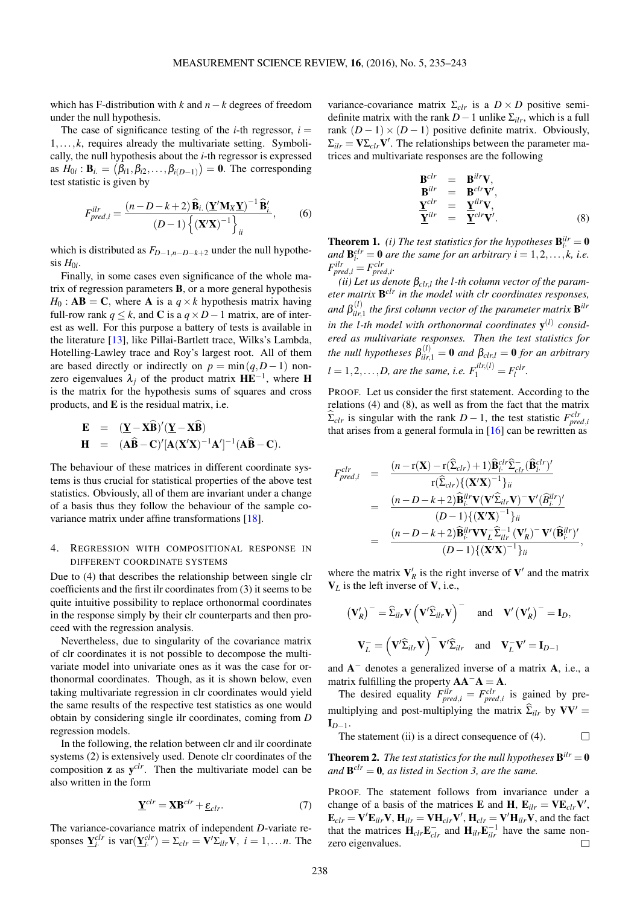which has F-distribution with *k* and *n*−*k* degrees of freedom under the null hypothesis.

The case of significance testing of the *i*-th regressor,  $i =$ 1,..., *k*, requires already the multivariate setting. Symbolically, the null hypothesis about the *i*-th regressor is expressed as  $H_{0i}$ : **B**<sub>*i*</sub>. =  $(\beta_{i1}, \beta_{i2}, \dots, \beta_{i(D-1)}) = 0$ . The corresponding test statistic is given by

$$
F_{pred,i}^{ilr} = \frac{(n - D - k + 2) \widehat{\mathbf{B}}_{i.} (\underline{\mathbf{Y}}' \mathbf{M}_{X} \underline{\mathbf{Y}})^{-1} \widehat{\mathbf{B}}'_{i.}}{(D - 1) \left\{ (\mathbf{X}' \mathbf{X})^{-1} \right\}_{ii}},
$$
(6)

which is distributed as *FD*−1,*n*−*D*−*k*+<sup>2</sup> under the null hypothe- $\sin H_{0i}$ .

Finally, in some cases even significance of the whole matrix of regression parameters B, or a more general hypothesis  $H_0$ : **AB** = **C**, where **A** is a  $q \times k$  hypothesis matrix having full-row rank  $q \leq k$ , and **C** is a  $q \times D - 1$  matrix, are of interest as well. For this purpose a battery of tests is available in the literature [\[13\]](#page-8-17), like Pillai-Bartlett trace, Wilks's Lambda, Hotelling-Lawley trace and Roy's largest root. All of them are based directly or indirectly on  $p = min(q, D - 1)$  nonzero eigenvalues  $\lambda_j$  of the product matrix  $\mathbf{H} \mathbf{E}^{-1}$ , where H is the matrix for the hypothesis sums of squares and cross products, and E is the residual matrix, i.e.

$$
\mathbf{E} = (\underline{\mathbf{Y}} - \mathbf{X}\widehat{\mathbf{B}})'(\underline{\mathbf{Y}} - \mathbf{X}\widehat{\mathbf{B}})
$$
  
\n
$$
\mathbf{H} = (\mathbf{A}\widehat{\mathbf{B}} - \mathbf{C})'[\mathbf{A}(\mathbf{X}'\mathbf{X})^{-1}\mathbf{A}']^{-1}(\mathbf{A}\widehat{\mathbf{B}} - \mathbf{C}).
$$

The behaviour of these matrices in different coordinate systems is thus crucial for statistical properties of the above test statistics. Obviously, all of them are invariant under a change of a basis thus they follow the behaviour of the sample covariance matrix under affine transformations [\[18\]](#page-8-20).

## 4. REGRESSION WITH COMPOSITIONAL RESPONSE IN DIFFERENT COORDINATE SYSTEMS

Due to [\(4\)](#page-2-0) that describes the relationship between single clr coefficients and the first ilr coordinates from [\(3\)](#page-1-0) it seems to be quite intuitive possibility to replace orthonormal coordinates in the response simply by their clr counterparts and then proceed with the regression analysis.

Nevertheless, due to singularity of the covariance matrix of clr coordinates it is not possible to decompose the multivariate model into univariate ones as it was the case for orthonormal coordinates. Though, as it is shown below, even taking multivariate regression in clr coordinates would yield the same results of the respective test statistics as one would obtain by considering single ilr coordinates, coming from *D* regression models.

In the following, the relation between clr and ilr coordinate systems [\(2\)](#page-1-1) is extensively used. Denote clr coordinates of the composition  $z$  as  $y^{clr}$ . Then the multivariate model can be also written in the form

<span id="page-3-0"></span>
$$
\underline{\mathbf{Y}}^{clr} = \mathbf{X}\mathbf{B}^{clr} + \underline{\boldsymbol{\varepsilon}}_{clr}.\tag{7}
$$

The variance-covariance matrix of independent *D*-variate responses  $\underline{\mathbf{Y}}_i^{clr}$  is  $\text{var}(\underline{\mathbf{Y}}_i^{clr}) = \Sigma_{clr} = \mathbf{V}'\Sigma_{ilr}\mathbf{V}, i = 1,...,n$ . The

variance-covariance matrix  $\Sigma_{chr}$  is a  $D \times D$  positive semidefinite matrix with the rank  $D-1$  unlike  $\Sigma_{ilr}$ , which is a full rank  $(D-1) \times (D-1)$  positive definite matrix. Obviously,  $\Sigma_{ilr} = \mathbf{V} \Sigma_{clr} \mathbf{V}'$ . The relationships between the parameter matrices and multivariate responses are the following

<span id="page-3-1"></span>
$$
\begin{array}{rcl}\n\mathbf{B}^{clr} & = & \mathbf{B}^{ilr} \mathbf{V}, \\
\mathbf{B}^{ilr} & = & \mathbf{B}^{clr} \mathbf{V}', \\
\mathbf{Y}^{clr} & = & \mathbf{Y}^{ilr} \mathbf{V}, \\
\mathbf{Y}^{ilr} & = & \mathbf{Y}^{clr} \mathbf{V}'.\n\end{array} \tag{8}
$$

**Theorem 1.** *(i) The test statistics for the hypotheses*  $\mathbf{B}_{i}^{ilr} = \mathbf{0}$ *and*  $\mathbf{B}_{i}^{clr} = \mathbf{0}$  *are the same for an arbitrary i* = 1,2,...,*k*, *i.e.*  $F_{pred,i}^{ilr} = F_{pred,i}^{clr}$ 

*(ii) Let us denote* β*clr*,*<sup>l</sup> the l-th column vector of the parameter matrix* B *clr in the model with clr coordinates responses, and*  $\beta_{ilr}^{(l)}$  $\hat{f}_{ilr,1}^{(l)}$  *the first column vector of the parameter matrix*  $\mathbf{B}^{ilr}$ *in the l-th model with orthonormal coordinates* y (*l*) *considered as multivariate responses. Then the test statistics for the null hypotheses*  $\beta_{ilr,1}^{(l)} = \mathbf{0}$  *and*  $\beta_{clr,l} = \mathbf{0}$  *for an arbitrary*  $l = 1, 2, \ldots, D$ , are the same, i.e.  $F_1^{ilr,(l)} = F_l^{clr}$ .

PROOF. Let us consider the first statement. According to the relations [\(4\)](#page-3-0) and [\(8\)](#page-3-1), as well as from the fact that the matrix  $\sum_{c}$  is singular with the rank *D* − 1, the test statistic *F*<sup>clr</sup><sub>pred,*i*</sub> that arises from a general formula in  $[16]$  can be rewritten as

$$
F_{pred,i}^{clr} = \frac{(n - r(\mathbf{X}) - r(\widehat{\Sigma}_{clr}) + 1)\widehat{\mathbf{B}}_{i}^{clr}\widehat{\Sigma}_{clr}(\widehat{\mathbf{B}}_{i}^{clr})'}{r(\widehat{\Sigma}_{clr})\{(\mathbf{X}'\mathbf{X})^{-1}\}_{ii}
$$
  

$$
= \frac{(n - D - k + 2)\widehat{\mathbf{B}}_{i}^{llr}\mathbf{V}(\mathbf{V}'\widehat{\Sigma}_{ilr}\mathbf{V}) - \mathbf{V}'(\widehat{\mathbf{B}}_{i}^{llr})'}{(D - 1)\{(\mathbf{X}'\mathbf{X})^{-1}\}_{ii}}
$$
  

$$
= \frac{(n - D - k + 2)\widehat{\mathbf{B}}_{i}^{llr}\mathbf{V}\mathbf{V}_{L}\widehat{\Sigma}_{ilr}^{-1}(\mathbf{V}_{R}') - \mathbf{V}'(\widehat{\mathbf{B}}_{i}^{llr})'}{(D - 1)\{(\mathbf{X}'\mathbf{X})^{-1}\}_{ii}},
$$

where the matrix  $V'_R$  is the right inverse of  $V'$  and the matrix  $V_L$  is the left inverse of V, i.e.,

$$
\left(\mathbf{V}_{R}^{\prime}\right)^{-} = \widehat{\Sigma}_{ilr} \mathbf{V} \left(\mathbf{V}^{\prime} \widehat{\Sigma}_{ilr} \mathbf{V}\right)^{-} \text{ and } \mathbf{V}^{\prime} \left(\mathbf{V}_{R}^{\prime}\right)^{-} = \mathbf{I}_{D},
$$

$$
\mathbf{V}_{L}^{-} = \left(\mathbf{V}^{\prime} \widehat{\Sigma}_{ilr} \mathbf{V}\right)^{-} \mathbf{V}^{\prime} \widehat{\Sigma}_{ilr} \text{ and } \mathbf{V}_{L}^{-} \mathbf{V}^{\prime} = \mathbf{I}_{D-1}
$$

and  $A^-$  denotes a generalized inverse of a matrix  $A$ , i.e., a matrix fulfilling the property  $AA^-A = A$ .

The desired equality  $F_{pred,i}^{ilr} = F_{pred,i}^{clr}$  is gained by premultiplying and post-multiplying the matrix  $\hat{\Sigma}_{ilr}$  by  $VV' =$  $I_{D-1}$ .

The statement (ii) is a direct consequence of [\(4\)](#page-2-0).  $\Box$ 

**Theorem 2.** *The test statistics for the null hypotheses*  $B^{ilr} = 0$ *and* B *clr* = 0*, as listed in Section 3, are the same.*

PROOF. The statement follows from invariance under a change of a basis of the matrices **E** and **H**,  $\mathbf{E}_{ilr} = \mathbf{V} \mathbf{E}_{clr} \mathbf{V}'$ ,  $\mathbf{E}_{clr} = \mathbf{V}' \mathbf{E}_{ilr} \mathbf{V}, \mathbf{H}_{ilr} = \mathbf{V} \mathbf{H}_{clr} \mathbf{V}', \mathbf{H}_{clr} = \mathbf{V}' \mathbf{H}_{ilr} \mathbf{V},$  and the fact that the matrices  $\mathbf{H}_{clr}\mathbf{E}_{clr}^{-1}$  and  $\mathbf{H}_{ilr}\mathbf{E}_{ilr}^{-1}$  have the same nonzero eigenvalues.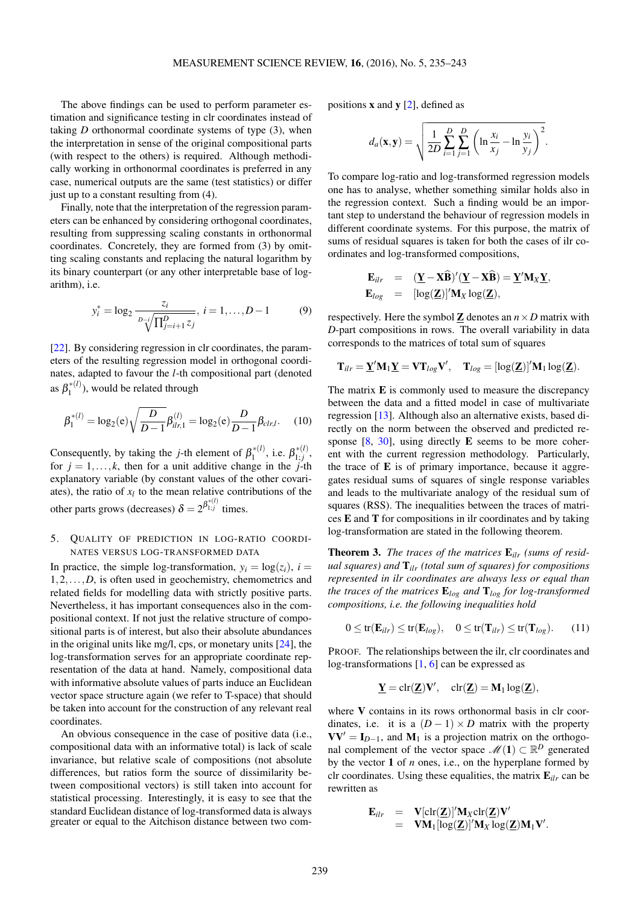The above findings can be used to perform parameter estimation and significance testing in clr coordinates instead of taking  $D$  orthonormal coordinate systems of type  $(3)$ , when the interpretation in sense of the original compositional parts (with respect to the others) is required. Although methodically working in orthonormal coordinates is preferred in any case, numerical outputs are the same (test statistics) or differ just up to a constant resulting from [\(4\)](#page-2-0).

Finally, note that the interpretation of the regression parameters can be enhanced by considering orthogonal coordinates, resulting from suppressing scaling constants in orthonormal coordinates. Concretely, they are formed from [\(3\)](#page-1-0) by omitting scaling constants and replacing the natural logarithm by its binary counterpart (or any other interpretable base of logarithm), i.e.

$$
y_i^* = \log_2 \frac{z_i}{\frac{D - i}{\sqrt[n]{\prod_{j=i+1}^D z_j}}}, \ i = 1, \dots, D - 1 \tag{9}
$$

[\[22\]](#page-8-21). By considering regression in clr coordinates, the parameters of the resulting regression model in orthogonal coordinates, adapted to favour the *l*-th compositional part (denoted as  $\beta_1^{*(l)}$  $\binom{1}{1}$ , would be related through

$$
\beta_1^{*(l)} = \log_2(e) \sqrt{\frac{D}{D-1}} \beta_{ilr,1}^{(l)} = \log_2(e) \frac{D}{D-1} \beta_{clr,l}.
$$
 (10)

Consequently, by taking the *j*-th element of  $\beta_1^{*(l)}$  $j_1^{*(l)}$ , i.e.  $\beta_{1;j}^{*(l)}$  $\int_{1,j}^{*(t)}$ , for  $j = 1, \ldots, k$ , then for a unit additive change in the *j*-th explanatory variable (by constant values of the other covariates), the ratio of  $x_l$  to the mean relative contributions of the other parts grows (decreases)  $\delta = 2^{\beta_{1;j}^{*(l)}}$  times.

## 5. QUALITY OF PREDICTION IN LOG-RATIO COORDI-NATES VERSUS LOG-TRANSFORMED DATA

In practice, the simple log-transformation,  $y_i = \log(z_i)$ ,  $i =$ 1,2,...,*D*, is often used in geochemistry, chemometrics and related fields for modelling data with strictly positive parts. Nevertheless, it has important consequences also in the compositional context. If not just the relative structure of compositional parts is of interest, but also their absolute abundances in the original units like mg/l, cps, or monetary units [\[24\]](#page-8-2), the log-transformation serves for an appropriate coordinate representation of the data at hand. Namely, compositional data with informative absolute values of parts induce an Euclidean vector space structure again (we refer to T-space) that should be taken into account for the construction of any relevant real coordinates.

An obvious consequence in the case of positive data (i.e., compositional data with an informative total) is lack of scale invariance, but relative scale of compositions (not absolute differences, but ratios form the source of dissimilarity between compositional vectors) is still taken into account for statistical processing. Interestingly, it is easy to see that the standard Euclidean distance of log-transformed data is always greater or equal to the Aitchison distance between two compositions  $x$  and  $y$  [\[2\]](#page-8-14), defined as

$$
d_a(\mathbf{x}, \mathbf{y}) = \sqrt{\frac{1}{2D} \sum_{i=1}^{D} \sum_{j=1}^{D} \left( \ln \frac{x_i}{x_j} - \ln \frac{y_i}{y_j} \right)^2}.
$$

To compare log-ratio and log-transformed regression models one has to analyse, whether something similar holds also in the regression context. Such a finding would be an important step to understand the behaviour of regression models in different coordinate systems. For this purpose, the matrix of sums of residual squares is taken for both the cases of ilr coordinates and log-transformed compositions,

$$
\mathbf{E}_{ilr} = (\underline{\mathbf{Y}} - \mathbf{X}\widehat{\mathbf{B}})'(\underline{\mathbf{Y}} - \mathbf{X}\widehat{\mathbf{B}}) = \underline{\mathbf{Y}}'\mathbf{M}_X\underline{\mathbf{Y}},
$$
  
\n
$$
\mathbf{E}_{log} = [\log(\underline{\mathbf{Z}})]'\mathbf{M}_X \log(\underline{\mathbf{Z}}),
$$

respectively. Here the symbol  $\mathbb Z$  denotes an  $n \times D$  matrix with *D*-part compositions in rows. The overall variability in data corresponds to the matrices of total sum of squares

$$
\mathbf{T}_{ilr} = \underline{\mathbf{Y}}'\mathbf{M}_1\underline{\mathbf{Y}} = \mathbf{V}\mathbf{T}_{log}\mathbf{V}', \quad \mathbf{T}_{log} = [\log(\underline{\mathbf{Z}})]'\mathbf{M}_1 \log(\underline{\mathbf{Z}}).
$$

The matrix **E** is commonly used to measure the discrepancy between the data and a fitted model in case of multivariate regression [\[13\]](#page-8-17). Although also an alternative exists, based directly on the norm between the observed and predicted response  $[8, 30]$  $[8, 30]$  $[8, 30]$ , using directly **E** seems to be more coherent with the current regression methodology. Particularly, the trace of  $E$  is of primary importance, because it aggregates residual sums of squares of single response variables and leads to the multivariate analogy of the residual sum of squares (RSS). The inequalities between the traces of matrices E and T for compositions in ilr coordinates and by taking log-transformation are stated in the following theorem.

Theorem 3. *The traces of the matrices* E*ilr (sums of residual squares) and* T*ilr (total sum of squares) for compositions represented in ilr coordinates are always less or equal than the traces of the matrices* E*log and* T*log for log-transformed compositions, i.e. the following inequalities hold*

$$
0 \le tr(\mathbf{E}_{ilr}) \le tr(\mathbf{E}_{log}), \quad 0 \le tr(\mathbf{T}_{ilr}) \le tr(\mathbf{T}_{log}). \tag{11}
$$

PROOF. The relationships between the ilr, clr coordinates and log-transformations [\[1,](#page-8-0) [6\]](#page-8-16) can be expressed as

$$
\underline{\boldsymbol{Y}}=\text{clr}(\underline{\boldsymbol{Z}})\boldsymbol{V}',\quad \text{clr}(\underline{\boldsymbol{Z}})=\boldsymbol{M}_1\log(\underline{\boldsymbol{Z}}),
$$

where V contains in its rows orthonormal basis in clr coordinates, i.e. it is a  $(D-1) \times D$  matrix with the property  $VV' = I_{D-1}$ , and M<sub>1</sub> is a projection matrix on the orthogonal complement of the vector space  $\mathcal{M}(1) \subset \mathbb{R}^D$  generated by the vector 1 of *n* ones, i.e., on the hyperplane formed by clr coordinates. Using these equalities, the matrix E*ilr* can be rewritten as

$$
\mathbf{E}_{ilr} = \mathbf{V}[\text{clr}(\mathbf{Z})]' \mathbf{M}_{X} \text{clr}(\mathbf{Z}) \mathbf{V}'
$$
  
=  $\mathbf{V} \mathbf{M}_{1}[\text{log}(\mathbf{Z})]' \mathbf{M}_{X} \text{log}(\mathbf{Z}) \mathbf{M}_{1} \mathbf{V}'.$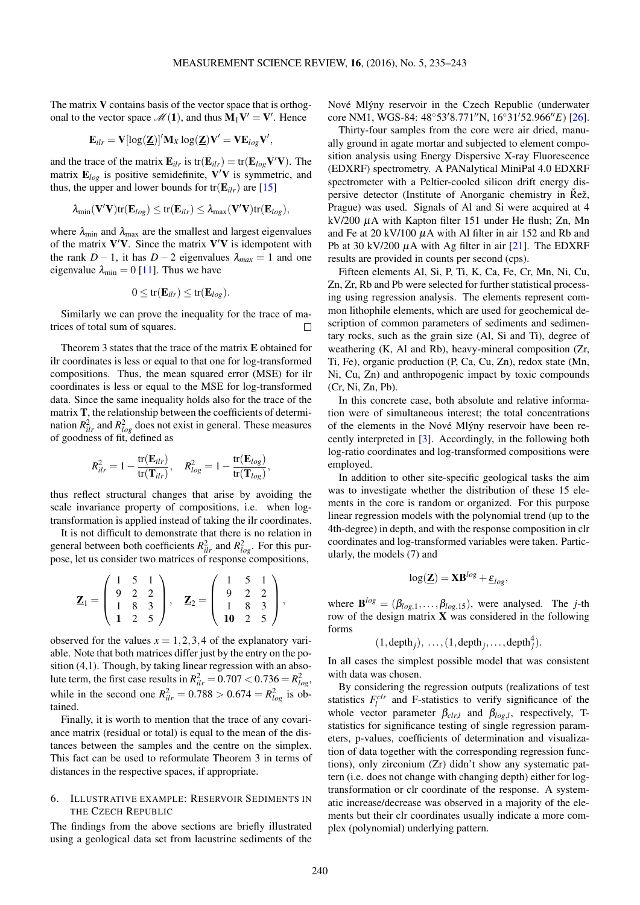,

The matrix  $V$  contains basis of the vector space that is orthogonal to the vector space  $\mathcal{M}(1)$ , and thus  $M_1V' = V'$ . Hence

$$
\mathbf{E}_{ilr} = \mathbf{V}[\log(\mathbf{Z})]' \mathbf{M}_X \log(\mathbf{Z}) \mathbf{V}' = \mathbf{V} \mathbf{E}_{log} \mathbf{V}'
$$

and the trace of the matrix  $\mathbf{E}_{ilr}$  is  $tr(\mathbf{E}_{ilr}) = tr(\mathbf{E}_{log} \mathbf{V}' \mathbf{V})$ . The matrix  $\mathbf{E}_{log}$  is positive semidefinite,  $\mathbf{V}'\mathbf{V}$  is symmetric, and thus, the upper and lower bounds for  $tr(E_{ilr})$  are [\[15\]](#page-8-22)

$$
\lambda_{\min}(\mathbf{V}'\mathbf{V})\text{tr}(\mathbf{E}_{log}) \leq \text{tr}(\mathbf{E}_{ilr}) \leq \lambda_{\max}(\mathbf{V}'\mathbf{V})\text{tr}(\mathbf{E}_{log}),
$$

where  $\lambda_{\text{min}}$  and  $\lambda_{\text{max}}$  are the smallest and largest eigenvalues of the matrix  $V'V$ . Since the matrix  $V'V$  is idempotent with the rank *D* − 1, it has *D* − 2 eigenvalues  $\lambda_{max} = 1$  and one eigenvalue  $\lambda_{\min} = 0$  [\[11\]](#page-8-23). Thus we have

$$
0 \leq tr(\mathbf{E}_{ilr}) \leq tr(\mathbf{E}_{log}).
$$

Similarly we can prove the inequality for the trace of matrices of total sum of squares.  $\Box$ 

Theorem 3 states that the trace of the matrix E obtained for ilr coordinates is less or equal to that one for log-transformed compositions. Thus, the mean squared error (MSE) for ilr coordinates is less or equal to the MSE for log-transformed data. Since the same inequality holds also for the trace of the matrix T, the relationship between the coefficients of determination  $R_{ilr}^2$  and  $R_{log}^2$  does not exist in general. These measures of goodness of fit, defined as

$$
R_{ilr}^2 = 1 - \frac{\text{tr}(\mathbf{E}_{ilr})}{\text{tr}(\mathbf{T}_{ilr})}, \quad R_{log}^2 = 1 - \frac{\text{tr}(\mathbf{E}_{log})}{\text{tr}(\mathbf{T}_{log})},
$$

thus reflect structural changes that arise by avoiding the scale invariance property of compositions, i.e. when logtransformation is applied instead of taking the ilr coordinates.

It is not difficult to demonstrate that there is no relation in general between both coefficients  $R_{ilr}^2$  and  $R_{log}^2$ . For this purpose, let us consider two matrices of response compositions,

$$
\mathbf{Z}_1 = \left( \begin{array}{ccc} 1 & 5 & 1 \\ 9 & 2 & 2 \\ 1 & 8 & 3 \\ \mathbf{1} & 2 & 5 \end{array} \right), \quad \mathbf{Z}_2 = \left( \begin{array}{ccc} 1 & 5 & 1 \\ 9 & 2 & 2 \\ 1 & 8 & 3 \\ \mathbf{10} & 2 & 5 \end{array} \right),
$$

observed for the values  $x = 1, 2, 3, 4$  of the explanatory variable. Note that both matrices differ just by the entry on the position (4,1). Though, by taking linear regression with an absolute term, the first case results in  $R_{ilr}^2 = 0.707 < 0.736 = R_{log}^2$ , while in the second one  $R_{ilr}^2 = 0.788 > 0.674 = R_{log}^2$  is obtained.

Finally, it is worth to mention that the trace of any covariance matrix (residual or total) is equal to the mean of the distances between the samples and the centre on the simplex. This fact can be used to reformulate Theorem 3 in terms of distances in the respective spaces, if appropriate.

# 6. ILLUSTRATIVE EXAMPLE: RESERVOIR SEDIMENTS IN THE CZECH REPUBLIC

The findings from the above sections are briefly illustrated using a geological data set from lacustrine sediments of the

Nové Mlýny reservoir in the Czech Republic (underwater core NM1, WGS-84: 48°53′8.771″N, 16°31′52.966″E) [\[26\]](#page-8-24).

Thirty-four samples from the core were air dried, manually ground in agate mortar and subjected to element composition analysis using Energy Dispersive X-ray Fluorescence (EDXRF) spectrometry. A PANalytical MiniPal 4.0 EDXRF spectrometer with a Peltier-cooled silicon drift energy dispersive detector (Institute of Anorganic chemistry in Řež, Prague) was used. Signals of Al and Si were acquired at 4 kV/200 µA with Kapton filter 151 under He flush; Zn, Mn and Fe at  $20 \frac{\text{kV}}{100}$   $\mu$ A with Al filter in air 152 and Rb and Pb at 30 kV/200  $\mu$ A with Ag filter in air [\[21\]](#page-8-25). The EDXRF results are provided in counts per second (cps).

Fifteen elements Al, Si, P, Ti, K, Ca, Fe, Cr, Mn, Ni, Cu, Zn, Zr, Rb and Pb were selected for further statistical processing using regression analysis. The elements represent common lithophile elements, which are used for geochemical description of common parameters of sediments and sedimentary rocks, such as the grain size (Al, Si and Ti), degree of weathering (K, Al and Rb), heavy-mineral composition (Zr, Ti, Fe), organic production (P, Ca, Cu, Zn), redox state (Mn, Ni, Cu, Zn) and anthropogenic impact by toxic compounds (Cr, Ni, Zn, Pb).

In this concrete case, both absolute and relative information were of simultaneous interest; the total concentrations of the elements in the Nové Mlýny reservoir have been recently interpreted in [\[3\]](#page-8-26). Accordingly, in the following both log-ratio coordinates and log-transformed compositions were employed.

In addition to other site-specific geological tasks the aim was to investigate whether the distribution of these 15 elements in the core is random or organized. For this purpose linear regression models with the polynomial trend (up to the 4th-degree) in depth, and with the response composition in clr coordinates and log-transformed variables were taken. Particularly, the models [\(7\)](#page-3-0) and

$$
\log(\mathbf{Z}) = \mathbf{X} \mathbf{B}^{log} + \underline{\varepsilon}_{log},
$$

where  $\mathbf{B}^{log} = (\beta_{log,1}, \dots, \beta_{log,15})$ , were analysed. The *j*-th row of the design matrix  $\bf{X}$  was considered in the following forms

$$
(1, \text{depth}_j), \ldots, (1, \text{depth}_j, \ldots, \text{depth}_j^4).
$$

In all cases the simplest possible model that was consistent with data was chosen.

By considering the regression outputs (realizations of test statistics  $F_l^{clr}$  and F-statistics to verify significance of the whole vector parameter  $\beta_{\text{clr},l}$  and  $\beta_{\text{log},l}$ , respectively, Tstatistics for significance testing of single regression parameters, p-values, coefficients of determination and visualization of data together with the corresponding regression functions), only zirconium (Zr) didn't show any systematic pattern (i.e. does not change with changing depth) either for logtransformation or clr coordinate of the response. A systematic increase/decrease was observed in a majority of the elements but their clr coordinates usually indicate a more complex (polynomial) underlying pattern.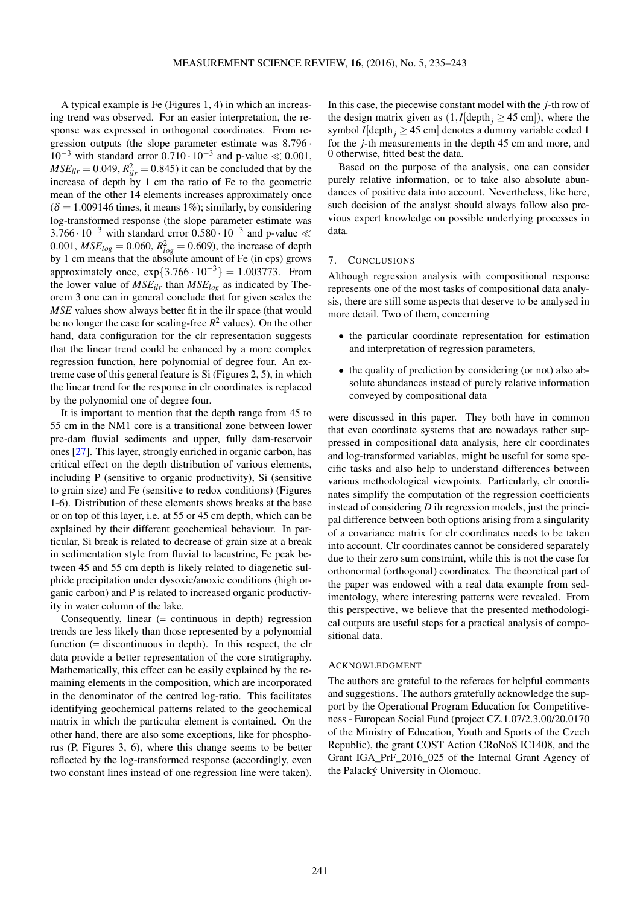A typical example is Fe (Figures 1, 4) in which an increasing trend was observed. For an easier interpretation, the response was expressed in orthogonal coordinates. From regression outputs (the slope parameter estimate was 8.796 ·  $10^{-3}$  with standard error  $0.710 \cdot 10^{-3}$  and p-value ≪ 0.001,  $MSE_{ilr} = 0.049$ ,  $R_{ilr}^2 = 0.845$ ) it can be concluded that by the increase of depth by 1 cm the ratio of Fe to the geometric mean of the other 14 elements increases approximately once  $(\delta = 1.009146$  times, it means 1%); similarly, by considering log-transformed response (the slope parameter estimate was 3.766 $\cdot$  10<sup>-3</sup> with standard error 0.580 $\cdot$  10<sup>-3</sup> and p-value  $\ll$ 0.001,  $MSE_{log} = 0.060$ ,  $R_{log}^2 = 0.609$ ), the increase of depth by 1 cm means that the absolute amount of Fe (in cps) grows approximately once,  $exp{3.766 \cdot 10^{-3}} = 1.003773$ . From the lower value of *MSEilr* than *MSElog* as indicated by Theorem 3 one can in general conclude that for given scales the *MSE* values show always better fit in the ilr space (that would be no longer the case for scaling-free *R* <sup>2</sup> values). On the other hand, data configuration for the clr representation suggests that the linear trend could be enhanced by a more complex regression function, here polynomial of degree four. An extreme case of this general feature is Si (Figures 2, 5), in which the linear trend for the response in clr coordinates is replaced by the polynomial one of degree four.

It is important to mention that the depth range from 45 to 55 cm in the NM1 core is a transitional zone between lower pre-dam fluvial sediments and upper, fully dam-reservoir ones [\[27\]](#page-8-27). This layer, strongly enriched in organic carbon, has critical effect on the depth distribution of various elements, including P (sensitive to organic productivity), Si (sensitive to grain size) and Fe (sensitive to redox conditions) (Figures 1-6). Distribution of these elements shows breaks at the base or on top of this layer, i.e. at 55 or 45 cm depth, which can be explained by their different geochemical behaviour. In particular, Si break is related to decrease of grain size at a break in sedimentation style from fluvial to lacustrine, Fe peak between 45 and 55 cm depth is likely related to diagenetic sulphide precipitation under dysoxic/anoxic conditions (high organic carbon) and P is related to increased organic productivity in water column of the lake.

Consequently, linear (= continuous in depth) regression trends are less likely than those represented by a polynomial function (= discontinuous in depth). In this respect, the clr data provide a better representation of the core stratigraphy. Mathematically, this effect can be easily explained by the remaining elements in the composition, which are incorporated in the denominator of the centred log-ratio. This facilitates identifying geochemical patterns related to the geochemical matrix in which the particular element is contained. On the other hand, there are also some exceptions, like for phosphorus (P, Figures 3, 6), where this change seems to be better reflected by the log-transformed response (accordingly, even two constant lines instead of one regression line were taken).

In this case, the piecewise constant model with the *j*-th row of the design matrix given as  $(1, I[\text{depth}_i \geq 45 \text{ cm}]),$  where the symbol *I*[depth<sub>*j*</sub>  $\geq$  45 cm] denotes a dummy variable coded 1 for the *j*-th measurements in the depth 45 cm and more, and 0 otherwise, fitted best the data.

Based on the purpose of the analysis, one can consider purely relative information, or to take also absolute abundances of positive data into account. Nevertheless, like here, such decision of the analyst should always follow also previous expert knowledge on possible underlying processes in data.

#### 7. CONCLUSIONS

Although regression analysis with compositional response represents one of the most tasks of compositional data analysis, there are still some aspects that deserve to be analysed in more detail. Two of them, concerning

- the particular coordinate representation for estimation and interpretation of regression parameters,
- the quality of prediction by considering (or not) also absolute abundances instead of purely relative information conveyed by compositional data

were discussed in this paper. They both have in common that even coordinate systems that are nowadays rather suppressed in compositional data analysis, here clr coordinates and log-transformed variables, might be useful for some specific tasks and also help to understand differences between various methodological viewpoints. Particularly, clr coordinates simplify the computation of the regression coefficients instead of considering *D* ilr regression models, just the principal difference between both options arising from a singularity of a covariance matrix for clr coordinates needs to be taken into account. Clr coordinates cannot be considered separately due to their zero sum constraint, while this is not the case for orthonormal (orthogonal) coordinates. The theoretical part of the paper was endowed with a real data example from sedimentology, where interesting patterns were revealed. From this perspective, we believe that the presented methodological outputs are useful steps for a practical analysis of compositional data.

#### ACKNOWLEDGMENT

The authors are grateful to the referees for helpful comments and suggestions. The authors gratefully acknowledge the support by the Operational Program Education for Competitiveness - European Social Fund (project CZ.1.07/2.3.00/20.0170 of the Ministry of Education, Youth and Sports of the Czech Republic), the grant COST Action CRoNoS IC1408, and the Grant IGA\_PrF\_2016\_025 of the Internal Grant Agency of the Palacký University in Olomouc.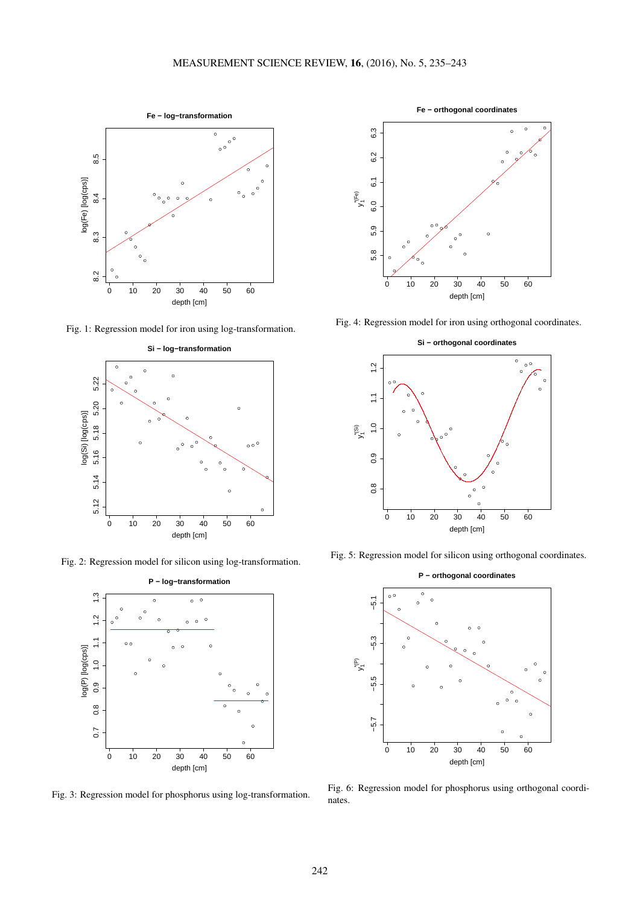

Fig. 1: Regression model for iron using log-transformation.



Fig. 2: Regression model for silicon using log-transformation.



Fig. 3: Regression model for phosphorus using log-transformation.



Fig. 4: Regression model for iron using orthogonal coordinates.



Fig. 5: Regression model for silicon using orthogonal coordinates.



Fig. 6: Regression model for phosphorus using orthogonal coordinates.